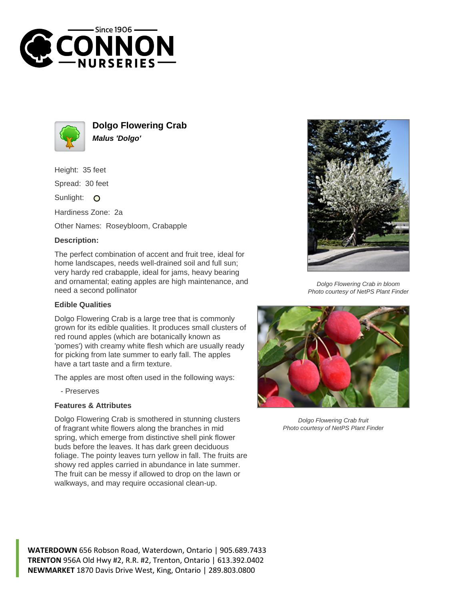



**Dolgo Flowering Crab Malus 'Dolgo'**

Height: 35 feet

Spread: 30 feet

Sunlight: O

Hardiness Zone: 2a

Other Names: Roseybloom, Crabapple

## **Description:**

The perfect combination of accent and fruit tree, ideal for home landscapes, needs well-drained soil and full sun; very hardy red crabapple, ideal for jams, heavy bearing and ornamental; eating apples are high maintenance, and need a second pollinator

## **Edible Qualities**

Dolgo Flowering Crab is a large tree that is commonly grown for its edible qualities. It produces small clusters of red round apples (which are botanically known as 'pomes') with creamy white flesh which are usually ready for picking from late summer to early fall. The apples have a tart taste and a firm texture.

The apples are most often used in the following ways:

- Preserves

## **Features & Attributes**

Dolgo Flowering Crab is smothered in stunning clusters of fragrant white flowers along the branches in mid spring, which emerge from distinctive shell pink flower buds before the leaves. It has dark green deciduous foliage. The pointy leaves turn yellow in fall. The fruits are showy red apples carried in abundance in late summer. The fruit can be messy if allowed to drop on the lawn or walkways, and may require occasional clean-up.



Dolgo Flowering Crab in bloom Photo courtesy of NetPS Plant Finder



Dolgo Flowering Crab fruit Photo courtesy of NetPS Plant Finder

**WATERDOWN** 656 Robson Road, Waterdown, Ontario | 905.689.7433 **TRENTON** 956A Old Hwy #2, R.R. #2, Trenton, Ontario | 613.392.0402 **NEWMARKET** 1870 Davis Drive West, King, Ontario | 289.803.0800